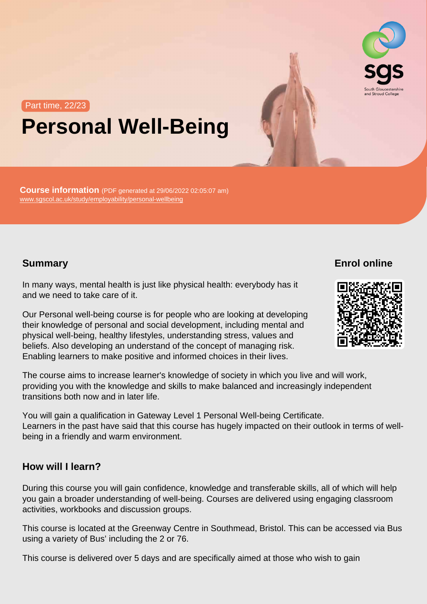# Part time, 22/23 Personal Well-Being

Course information (PDF generated at 29/06/2022 02:05:07 am) [www.sgscol.ac.uk/study/employability/personal-wellbeing](https://www.sgscol.ac.uk/study/employability/personal-wellbeing)

**Summary** 

Enrol online

In many ways, mental health is just like physical health: everybody has it and we need to take care of it.

Our Personal well-being course is for people who are looking at developing their knowledge of personal and social development, including mental and physical well-being, healthy lifestyles, understanding stress, values and beliefs. Also developing an understand of the concept of managing risk. Enabling learners to make positive and informed choices in their lives.

The course aims to increase learner's knowledge of society in which you live and will work, providing you with the knowledge and skills to make balanced and increasingly independent transitions both now and in later life.

You will gain a qualification in Gateway Level 1 Personal Well-being Certificate. Learners in the past have said that this course has hugely impacted on their outlook in terms of wellbeing in a friendly and warm environment.

## How will I learn?

During this course you will gain confidence, knowledge and transferable skills, all of which will help you gain a broader understanding of well-being. Courses are delivered using engaging classroom activities, workbooks and discussion groups.

This course is located at the Greenway Centre in Southmead, Bristol. This can be accessed via Bus using a variety of Bus' including the 2 or 76.

This course is delivered over 5 days and are specifically aimed at those who wish to gain